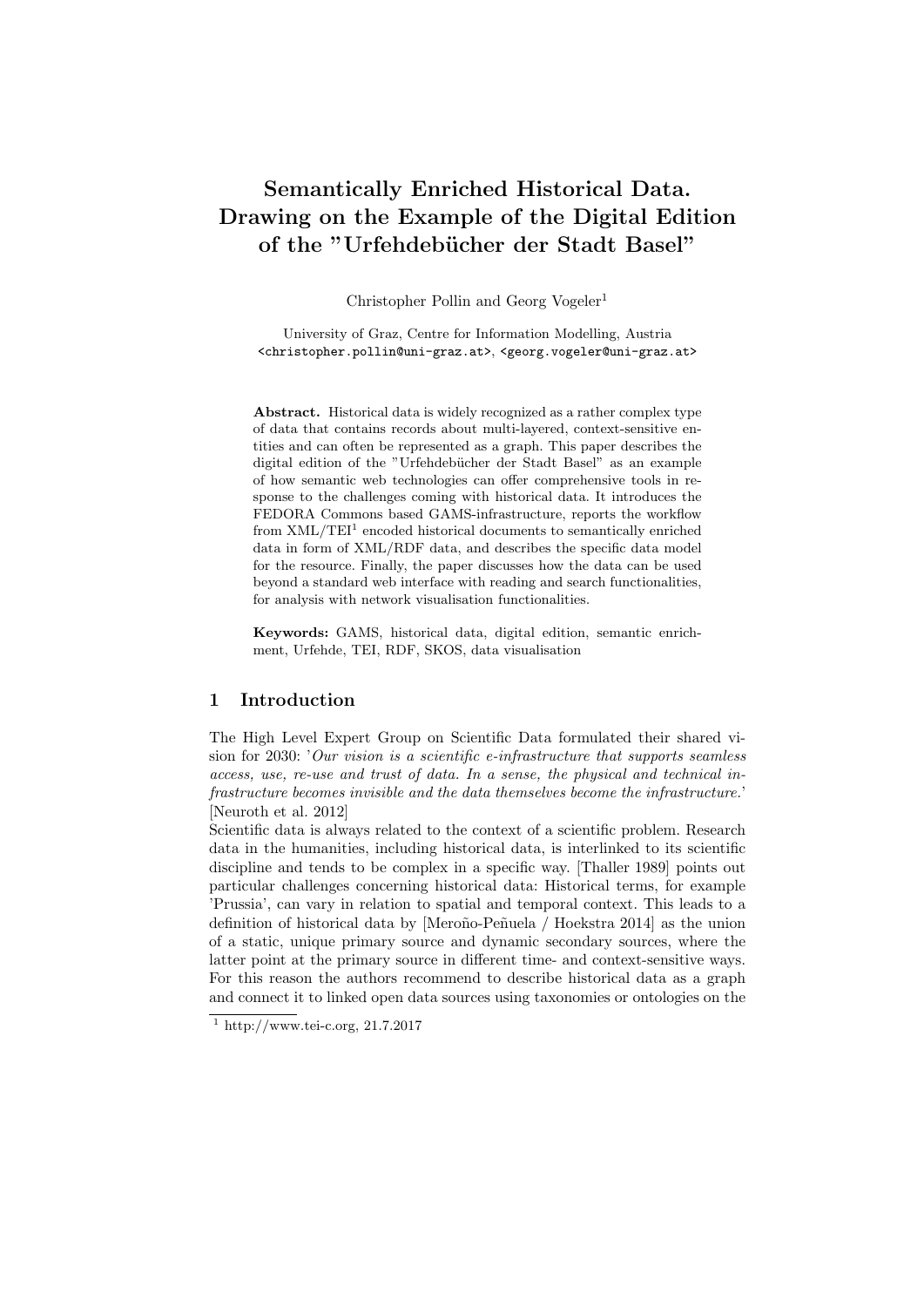# Semantically Enriched Historical Data. Drawing on the Example of the Digital Edition of the "Urfehdebücher der Stadt Basel"

Christopher Pollin and Georg Vogeler<sup>1</sup>

University of Graz, Centre for Information Modelling, Austria <christopher.pollin@uni-graz.at>, <georg.vogeler@uni-graz.at>

Abstract. Historical data is widely recognized as a rather complex type of data that contains records about multi-layered, context-sensitive entities and can often be represented as a graph. This paper describes the digital edition of the "Urfehdebücher der Stadt Basel" as an example of how semantic web technologies can offer comprehensive tools in response to the challenges coming with historical data. It introduces the FEDORA Commons based GAMS-infrastructure, reports the workflow from  $XML/TEI<sup>1</sup>$  encoded historical documents to semantically enriched data in form of XML/RDF data, and describes the specific data model for the resource. Finally, the paper discusses how the data can be used beyond a standard web interface with reading and search functionalities, for analysis with network visualisation functionalities.

Keywords: GAMS, historical data, digital edition, semantic enrichment, Urfehde, TEI, RDF, SKOS, data visualisation

### 1 Introduction

The High Level Expert Group on Scientific Data formulated their shared vision for 2030: 'Our vision is a scientific e-infrastructure that supports seamless access, use, re-use and trust of data. In a sense, the physical and technical infrastructure becomes invisible and the data themselves become the infrastructure.' [Neuroth et al. 2012]

Scientific data is always related to the context of a scientific problem. Research data in the humanities, including historical data, is interlinked to its scientific discipline and tends to be complex in a specific way. [Thaller 1989] points out particular challenges concerning historical data: Historical terms, for example 'Prussia', can vary in relation to spatial and temporal context. This leads to a definition of historical data by [Meroño-Peñuela / Hoekstra 2014] as the union of a static, unique primary source and dynamic secondary sources, where the latter point at the primary source in different time- and context-sensitive ways. For this reason the authors recommend to describe historical data as a graph and connect it to linked open data sources using taxonomies or ontologies on the

 $1 \text{ http://www.tei-c.org, } 21.7.2017$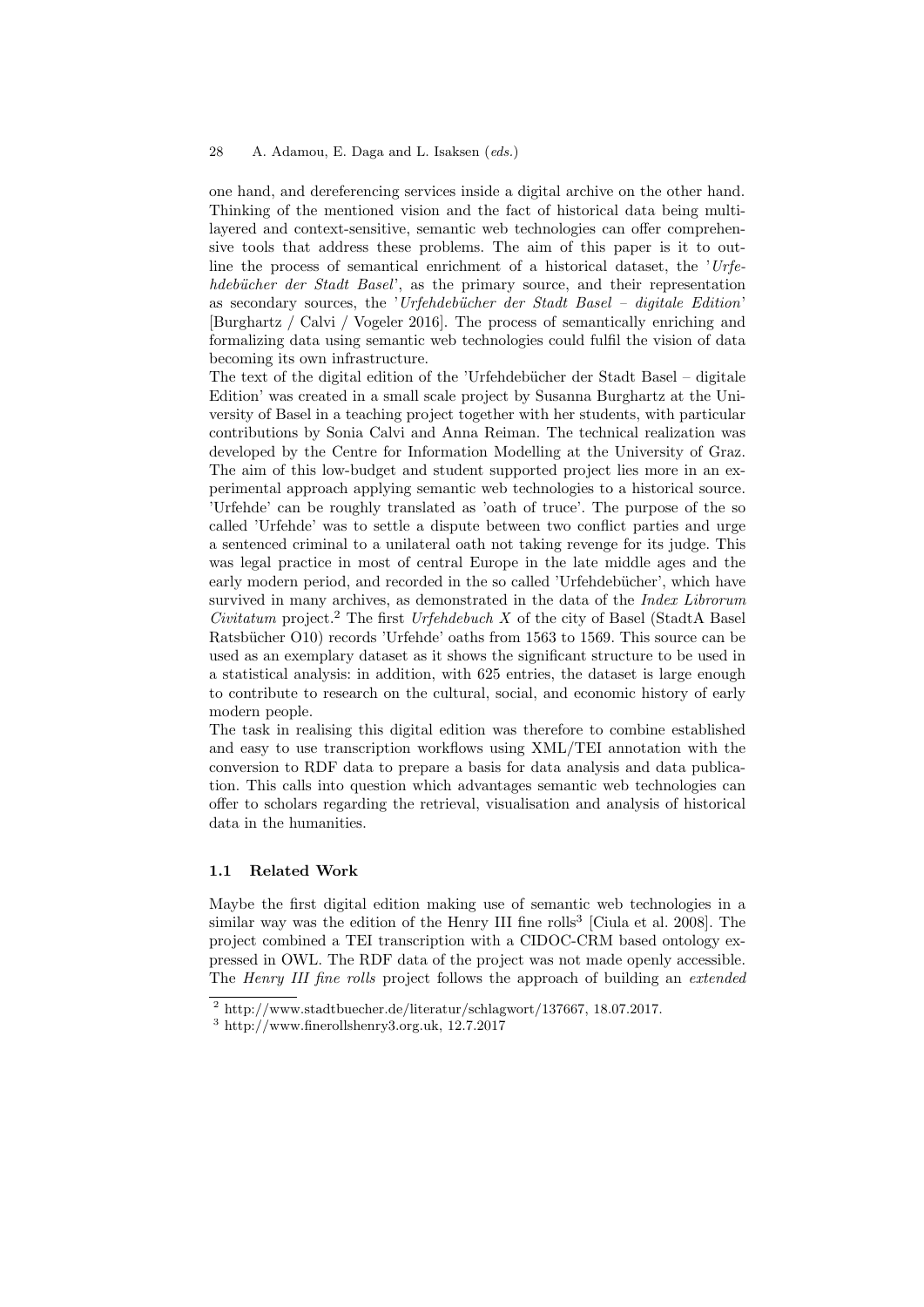#### 28 A. Adamou, E. Daga and L. Isaksen (eds.)

one hand, and dereferencing services inside a digital archive on the other hand. Thinking of the mentioned vision and the fact of historical data being multilayered and context-sensitive, semantic web technologies can offer comprehensive tools that address these problems. The aim of this paper is it to outline the process of semantical enrichment of a historical dataset, the  $U$ rfehdebücher der Stadt Basel', as the primary source, and their representation as secondary sources, the 'Urfehdebücher der Stadt Basel – digitale Edition' [Burghartz / Calvi / Vogeler 2016]. The process of semantically enriching and formalizing data using semantic web technologies could fulfil the vision of data becoming its own infrastructure.

The text of the digital edition of the 'Urfehdebücher der Stadt Basel – digitale Edition' was created in a small scale project by Susanna Burghartz at the University of Basel in a teaching project together with her students, with particular contributions by Sonia Calvi and Anna Reiman. The technical realization was developed by the Centre for Information Modelling at the University of Graz. The aim of this low-budget and student supported project lies more in an experimental approach applying semantic web technologies to a historical source. 'Urfehde' can be roughly translated as 'oath of truce'. The purpose of the so called 'Urfehde' was to settle a dispute between two conflict parties and urge a sentenced criminal to a unilateral oath not taking revenge for its judge. This was legal practice in most of central Europe in the late middle ages and the early modern period, and recorded in the so called 'Urfehdebücher', which have survived in many archives, as demonstrated in the data of the Index Librorum Civitatum project.<sup>2</sup> The first Urfehdebuch X of the city of Basel (StadtA Basel) Ratsbücher O10) records 'Urfehde' oaths from 1563 to 1569. This source can be used as an exemplary dataset as it shows the significant structure to be used in a statistical analysis: in addition, with 625 entries, the dataset is large enough to contribute to research on the cultural, social, and economic history of early modern people.

The task in realising this digital edition was therefore to combine established and easy to use transcription workflows using XML/TEI annotation with the conversion to RDF data to prepare a basis for data analysis and data publication. This calls into question which advantages semantic web technologies can offer to scholars regarding the retrieval, visualisation and analysis of historical data in the humanities.

### 1.1 Related Work

Maybe the first digital edition making use of semantic web technologies in a similar way was the edition of the Henry III fine rolls<sup>3</sup> [Ciula et al. 2008]. The project combined a TEI transcription with a CIDOC-CRM based ontology expressed in OWL. The RDF data of the project was not made openly accessible. The *Henry III fine rolls* project follows the approach of building an *extended* 

 $^{2}$  http://www.stadtbuecher.de/literatur/schlagwort/137667, 18.07.2017.

<sup>3</sup> http://www.finerollshenry3.org.uk, 12.7.2017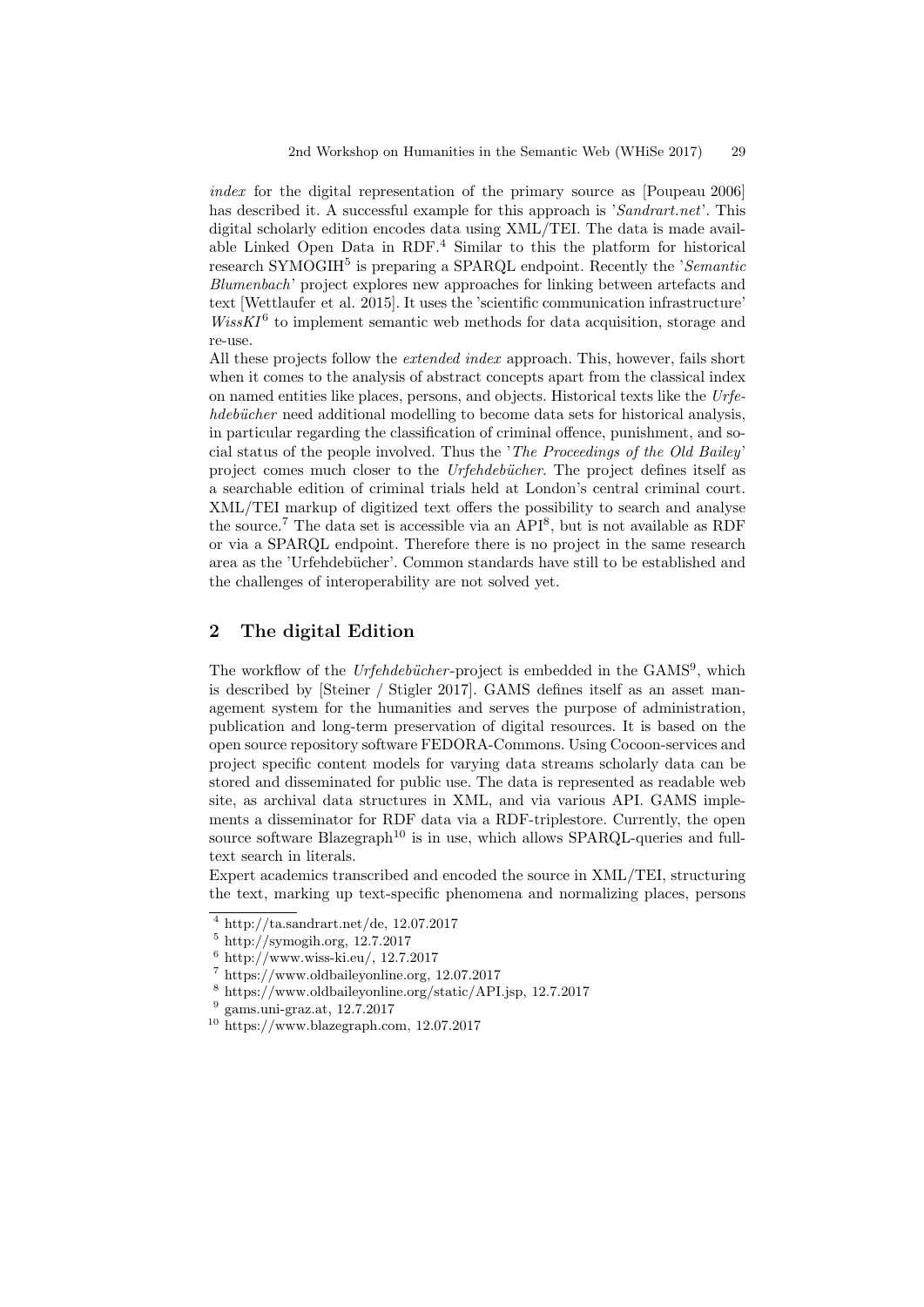index for the digital representation of the primary source as [Poupeau 2006] has described it. A successful example for this approach is 'Sandrart.net'. This digital scholarly edition encodes data using XML/TEI. The data is made available Linked Open Data in RDF.<sup>4</sup> Similar to this the platform for historical research SYMOGIH<sup>5</sup> is preparing a SPARQL endpoint. Recently the 'Semantic Blumenbach' project explores new approaches for linking between artefacts and text [Wettlaufer et al. 2015]. It uses the 'scientific communication infrastructure'  $WissKI^6$  to implement semantic web methods for data acquisition, storage and re-use.

All these projects follow the *extended index* approach. This, however, fails short when it comes to the analysis of abstract concepts apart from the classical index on named entities like places, persons, and objects. Historical texts like the Urfehdebücher need additional modelling to become data sets for historical analysis, in particular regarding the classification of criminal offence, punishment, and social status of the people involved. Thus the 'The Proceedings of the Old Bailey' project comes much closer to the *Urfehdebücher*. The project defines itself as a searchable edition of criminal trials held at London's central criminal court. XML/TEI markup of digitized text offers the possibility to search and analyse the source.<sup>7</sup> The data set is accessible via an API<sup>8</sup>, but is not available as RDF or via a SPARQL endpoint. Therefore there is no project in the same research area as the 'Urfehdebücher'. Common standards have still to be established and the challenges of interoperability are not solved yet.

## 2 The digital Edition

The workflow of the Urfehdebücher-project is embedded in the GAMS<sup>9</sup>, which is described by [Steiner / Stigler 2017]. GAMS defines itself as an asset management system for the humanities and serves the purpose of administration, publication and long-term preservation of digital resources. It is based on the open source repository software FEDORA-Commons. Using Cocoon-services and project specific content models for varying data streams scholarly data can be stored and disseminated for public use. The data is represented as readable web site, as archival data structures in XML, and via various API. GAMS implements a disseminator for RDF data via a RDF-triplestore. Currently, the open source software  $Blazeqraph<sup>10</sup>$  is in use, which allows SPARQL-queries and fulltext search in literals.

Expert academics transcribed and encoded the source in XML/TEI, structuring the text, marking up text-specific phenomena and normalizing places, persons

 $^4$ http://ta.sandrart.net/de, 12.07.2017

 $5 \text{ http://symogih.org, } 12.7.2017$ 

 $6$  http://www.wiss-ki.eu/, 12.7.2017

<sup>7</sup> https://www.oldbaileyonline.org, 12.07.2017

<sup>8</sup> https://www.oldbaileyonline.org/static/API.jsp, 12.7.2017

<sup>9</sup> gams.uni-graz.at, 12.7.2017

<sup>10</sup> https://www.blazegraph.com, 12.07.2017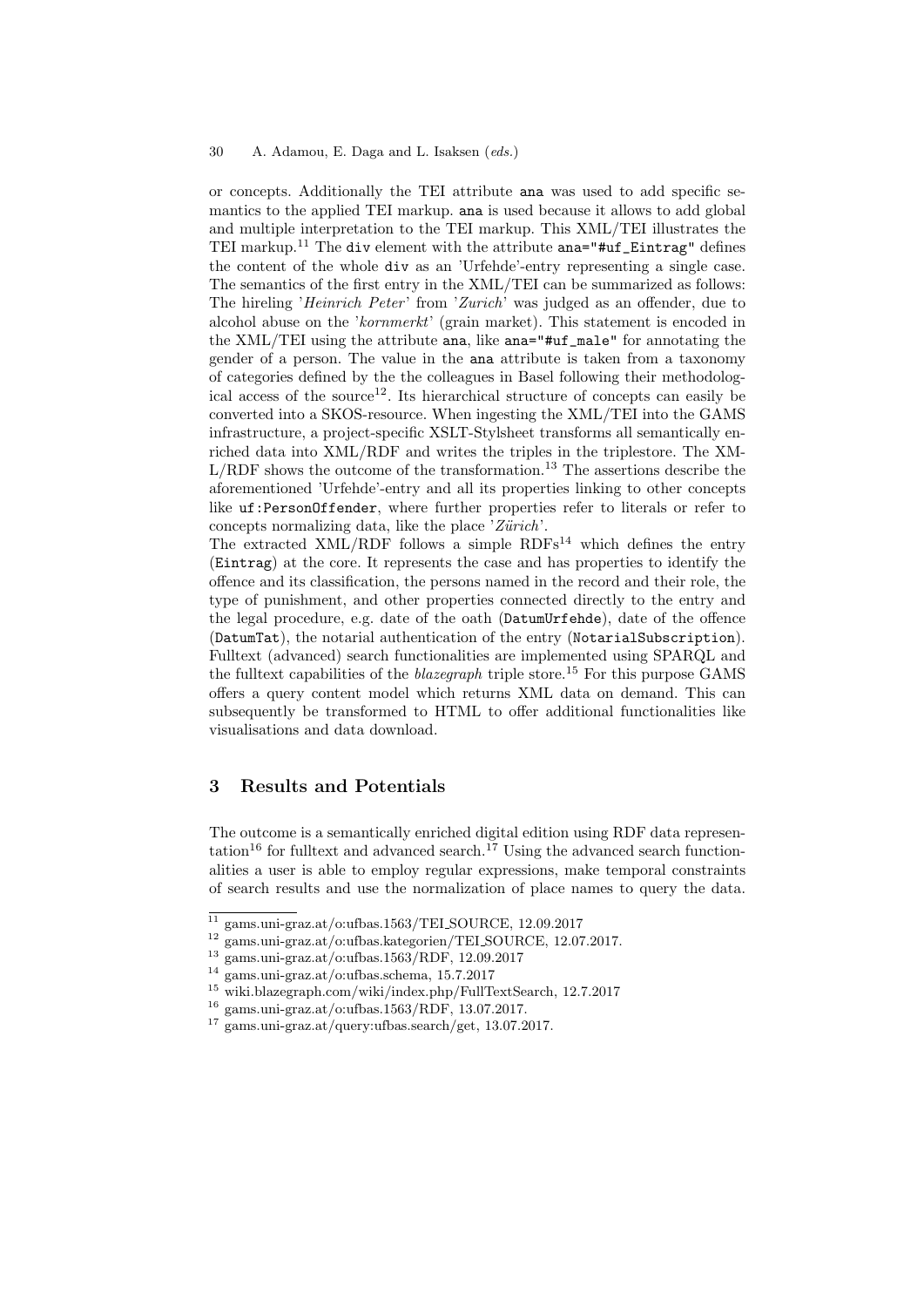#### 30 A. Adamou, E. Daga and L. Isaksen (eds.)

or concepts. Additionally the TEI attribute ana was used to add specific semantics to the applied TEI markup. ana is used because it allows to add global and multiple interpretation to the TEI markup. This XML/TEI illustrates the TEI markup.<sup>11</sup> The div element with the attribute  $ana="#uf_Eintrag"$  defines the content of the whole div as an 'Urfehde'-entry representing a single case. The semantics of the first entry in the XML/TEI can be summarized as follows: The hireling 'Heinrich Peter' from 'Zurich' was judged as an offender, due to alcohol abuse on the 'kornmerkt' (grain market). This statement is encoded in the XML/TEI using the attribute ana, like ana="#uf\_male" for annotating the gender of a person. The value in the ana attribute is taken from a taxonomy of categories defined by the the colleagues in Basel following their methodological access of the source<sup>12</sup>. Its hierarchical structure of concepts can easily be converted into a SKOS-resource. When ingesting the XML/TEI into the GAMS infrastructure, a project-specific XSLT-Stylsheet transforms all semantically enriched data into XML/RDF and writes the triples in the triplestore. The XM- $L/RDF$  shows the outcome of the transformation.<sup>13</sup> The assertions describe the aforementioned 'Urfehde'-entry and all its properties linking to other concepts like uf:PersonOffender, where further properties refer to literals or refer to concepts normalizing data, like the place 'Zürich'.

The extracted  $XML/RDF$  follows a simple  $RDFs<sup>14</sup>$  which defines the entry (Eintrag) at the core. It represents the case and has properties to identify the offence and its classification, the persons named in the record and their role, the type of punishment, and other properties connected directly to the entry and the legal procedure, e.g. date of the oath (DatumUrfehde), date of the offence (DatumTat), the notarial authentication of the entry (NotarialSubscription). Fulltext (advanced) search functionalities are implemented using SPARQL and the fulltext capabilities of the *blazegraph* triple store.<sup>15</sup> For this purpose GAMS offers a query content model which returns XML data on demand. This can subsequently be transformed to HTML to offer additional functionalities like visualisations and data download.

# 3 Results and Potentials

The outcome is a semantically enriched digital edition using RDF data representation<sup>16</sup> for fulltext and advanced search.<sup>17</sup> Using the advanced search functionalities a user is able to employ regular expressions, make temporal constraints of search results and use the normalization of place names to query the data.

 $\frac{11}{11}$  gams.uni-graz.at/o:ufbas.1563/TELSOURCE, 12.09.2017

<sup>12</sup> gams.uni-graz.at/o:ufbas.kategorien/TEI SOURCE, 12.07.2017.

<sup>13</sup> gams.uni-graz.at/o:ufbas.1563/RDF, 12.09.2017

<sup>14</sup> gams.uni-graz.at/o:ufbas.schema, 15.7.2017

<sup>15</sup> wiki.blazegraph.com/wiki/index.php/FullTextSearch, 12.7.2017

<sup>16</sup> gams.uni-graz.at/o:ufbas.1563/RDF, 13.07.2017.

<sup>17</sup> gams.uni-graz.at/query:ufbas.search/get, 13.07.2017.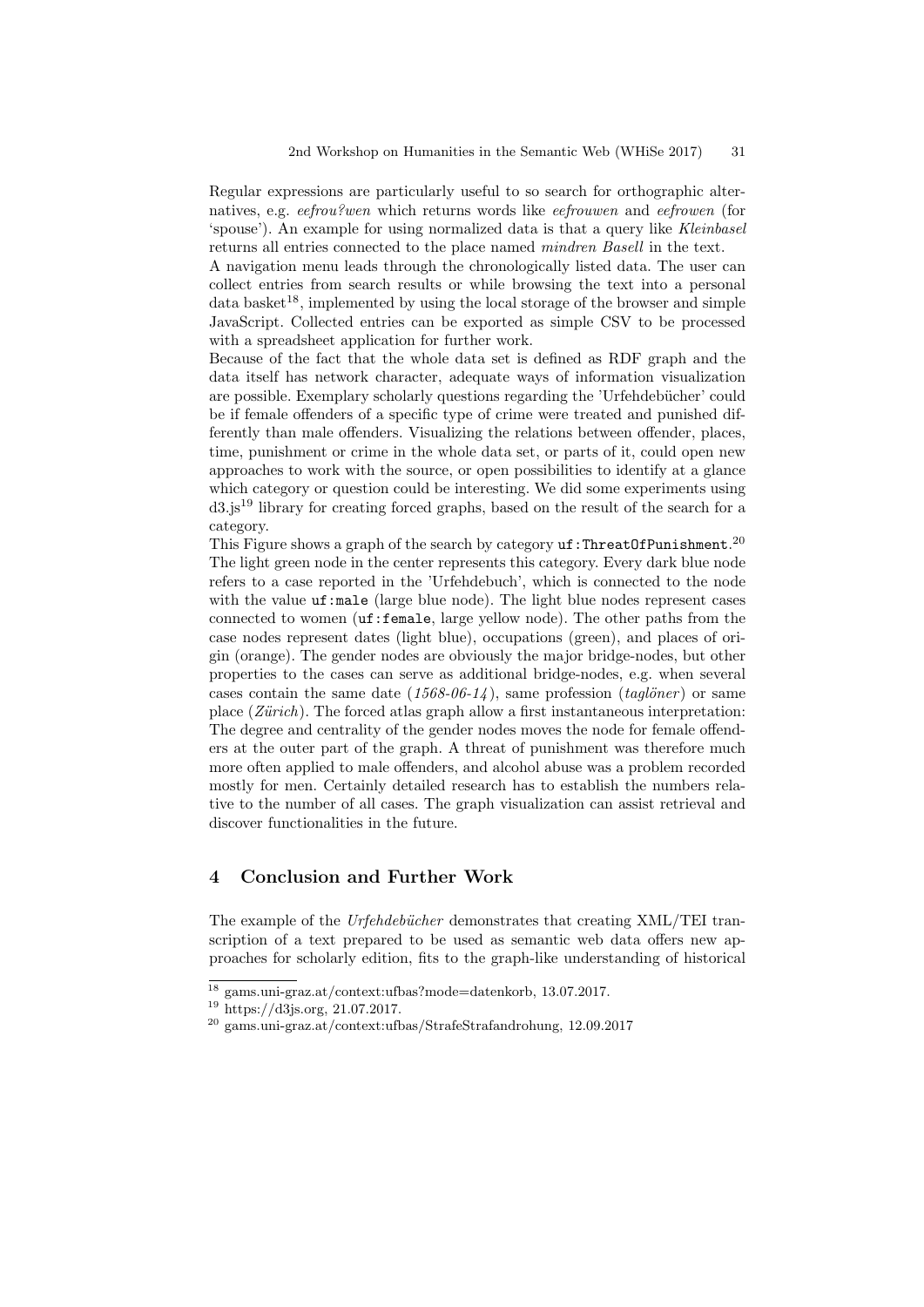Regular expressions are particularly useful to so search for orthographic alternatives, e.g. eefrou?wen which returns words like eefrouwen and eefrowen (for 'spouse'). An example for using normalized data is that a query like Kleinbasel returns all entries connected to the place named mindren Basell in the text.

A navigation menu leads through the chronologically listed data. The user can collect entries from search results or while browsing the text into a personal  $data \, basket^{18}$ , implemented by using the local storage of the browser and simple JavaScript. Collected entries can be exported as simple CSV to be processed with a spreadsheet application for further work.

Because of the fact that the whole data set is defined as RDF graph and the data itself has network character, adequate ways of information visualization are possible. Exemplary scholarly questions regarding the 'Urfehdebücher' could be if female offenders of a specific type of crime were treated and punished differently than male offenders. Visualizing the relations between offender, places, time, punishment or crime in the whole data set, or parts of it, could open new approaches to work with the source, or open possibilities to identify at a glance which category or question could be interesting. We did some experiments using  $d3.$  is<sup>19</sup> library for creating forced graphs, based on the result of the search for a category.

This Figure shows a graph of the search by category  $\mathsf{uf}\!:\!\mathsf{ThreadOfPunishment.}^{20}$ The light green node in the center represents this category. Every dark blue node refers to a case reported in the 'Urfehdebuch', which is connected to the node with the value  $uf:male$  (large blue node). The light blue nodes represent cases connected to women (uf:female, large yellow node). The other paths from the case nodes represent dates (light blue), occupations (green), and places of origin (orange). The gender nodes are obviously the major bridge-nodes, but other properties to the cases can serve as additional bridge-nodes, e.g. when several cases contain the same date  $(1568-06-14)$ , same profession  $(tagdöner)$  or same place  $(Zürich)$ . The forced atlas graph allow a first instantaneous interpretation: The degree and centrality of the gender nodes moves the node for female offenders at the outer part of the graph. A threat of punishment was therefore much more often applied to male offenders, and alcohol abuse was a problem recorded mostly for men. Certainly detailed research has to establish the numbers relative to the number of all cases. The graph visualization can assist retrieval and discover functionalities in the future.

# 4 Conclusion and Further Work

The example of the Urfehdebücher demonstrates that creating XML/TEI transcription of a text prepared to be used as semantic web data offers new approaches for scholarly edition, fits to the graph-like understanding of historical

<sup>18</sup> gams.uni-graz.at/context:ufbas?mode=datenkorb, 13.07.2017.

<sup>19</sup> https://d3js.org, 21.07.2017.

 $^{20}$ gams.uni-graz.at/context:ufbas/StrafeStrafandrohung, 12.09.2017